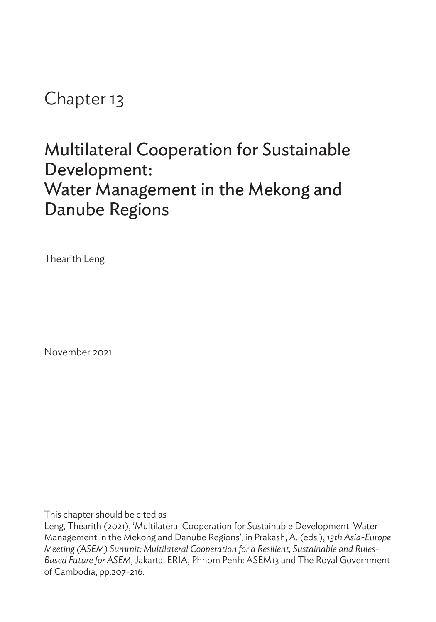# Chapter 13

# Multilateral Cooperation for Sustainable Development: Water Management in the Mekong and Danube Regions

Thearith Leng

November 2021

This chapter should be cited as

Leng, Thearith (2021), 'Multilateral Cooperation for Sustainable Development: Water Management in the Mekong and Danube Regions', in Prakash, A. (eds.), *13th Asia-Europe Meeting (ASEM) Summit: Multilateral Cooperation for a Resilient, Sustainable and Rules-Based Future for ASEM*, Jakarta: ERIA, Phnom Penh: ASEM13 and The Royal Government of Cambodia, pp.207-216.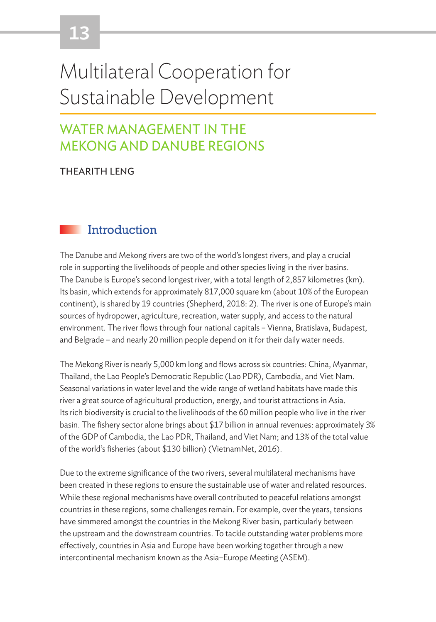# 13

# Multilateral Cooperation for Sustainable Development

# WATER MANAGEMENT IN THE MEKONG AND DANUBE REGIONS

THEARITH LENG

# **Introduction**

The Danube and Mekong rivers are two of the world's longest rivers, and play a crucial role in supporting the livelihoods of people and other species living in the river basins. The Danube is Europe's second longest river, with a total length of 2,857 kilometres (km). Its basin, which extends for approximately 817,000 square km (about 10% of the European continent), is shared by 19 countries (Shepherd, 2018: 2). The river is one of Europe's main sources of hydropower, agriculture, recreation, water supply, and access to the natural environment. The river flows through four national capitals – Vienna, Bratislava, Budapest, and Belgrade – and nearly 20 million people depend on it for their daily water needs.

The Mekong River is nearly 5,000 km long and flows across six countries: China, Myanmar, Thailand, the Lao People's Democratic Republic (Lao PDR), Cambodia, and Viet Nam. Seasonal variations in water level and the wide range of wetland habitats have made this river a great source of agricultural production, energy, and tourist attractions in Asia. Its rich biodiversity is crucial to the livelihoods of the 60 million people who live in the river basin. The fishery sector alone brings about \$17 billion in annual revenues: approximately 3% of the GDP of Cambodia, the Lao PDR, Thailand, and Viet Nam; and 13% of the total value of the world's fisheries (about \$130 billion) (VietnamNet, 2016).

Due to the extreme significance of the two rivers, several multilateral mechanisms have been created in these regions to ensure the sustainable use of water and related resources. While these regional mechanisms have overall contributed to peaceful relations amongst countries in these regions, some challenges remain. For example, over the years, tensions have simmered amongst the countries in the Mekong River basin, particularly between the upstream and the downstream countries. To tackle outstanding water problems more effectively, countries in Asia and Europe have been working together through a new intercontinental mechanism known as the Asia–Europe Meeting (ASEM).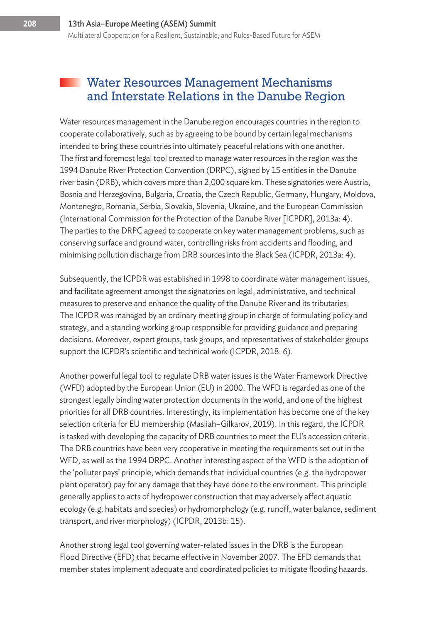#### **Water Resources Management Mechanisms** and Interstate Relations in the Danube Region

Water resources management in the Danube region encourages countries in the region to cooperate collaboratively, such as by agreeing to be bound by certain legal mechanisms intended to bring these countries into ultimately peaceful relations with one another. The first and foremost legal tool created to manage water resources in the region was the 1994 Danube River Protection Convention (DRPC), signed by 15 entities in the Danube river basin (DRB), which covers more than 2,000 square km. These signatories were Austria, Bosnia and Herzegovina, Bulgaria, Croatia, the Czech Republic, Germany, Hungary, Moldova, Montenegro, Romania, Serbia, Slovakia, Slovenia, Ukraine, and the European Commission (International Commission for the Protection of the Danube River [ICPDR], 2013a: 4). The parties to the DRPC agreed to cooperate on key water management problems, such as conserving surface and ground water, controlling risks from accidents and flooding, and minimising pollution discharge from DRB sources into the Black Sea (ICPDR, 2013a: 4).

Subsequently, the ICPDR was established in 1998 to coordinate water management issues, and facilitate agreement amongst the signatories on legal, administrative, and technical measures to preserve and enhance the quality of the Danube River and its tributaries. The ICPDR was managed by an ordinary meeting group in charge of formulating policy and strategy, and a standing working group responsible for providing guidance and preparing decisions. Moreover, expert groups, task groups, and representatives of stakeholder groups support the ICPDR's scientific and technical work (ICPDR, 2018: 6).

Another powerful legal tool to regulate DRB water issues is the Water Framework Directive (WFD) adopted by the European Union (EU) in 2000. The WFD is regarded as one of the strongest legally binding water protection documents in the world, and one of the highest priorities for all DRB countries. Interestingly, its implementation has become one of the key selection criteria for EU membership (Masliah–Gilkarov, 2019). In this regard, the ICPDR is tasked with developing the capacity of DRB countries to meet the EU's accession criteria. The DRB countries have been very cooperative in meeting the requirements set out in the WFD, as well as the 1994 DRPC. Another interesting aspect of the WFD is the adoption of the 'polluter pays' principle, which demands that individual countries (e.g. the hydropower plant operator) pay for any damage that they have done to the environment. This principle generally applies to acts of hydropower construction that may adversely affect aquatic ecology (e.g. habitats and species) or hydromorphology (e.g. runoff, water balance, sediment transport, and river morphology) (ICPDR, 2013b: 15).

Another strong legal tool governing water-related issues in the DRB is the European Flood Directive (EFD) that became effective in November 2007. The EFD demands that member states implement adequate and coordinated policies to mitigate flooding hazards.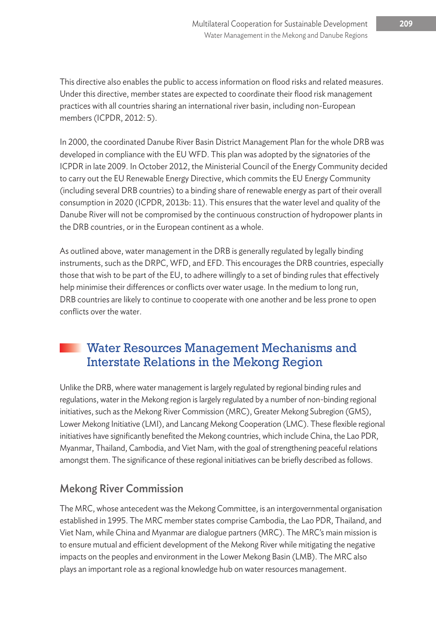This directive also enables the public to access information on flood risks and related measures. Under this directive, member states are expected to coordinate their flood risk management practices with all countries sharing an international river basin, including non-European members (ICPDR, 2012: 5).

In 2000, the coordinated Danube River Basin District Management Plan for the whole DRB was developed in compliance with the EU WFD. This plan was adopted by the signatories of the ICPDR in late 2009. In October 2012, the Ministerial Council of the Energy Community decided to carry out the EU Renewable Energy Directive, which commits the EU Energy Community (including several DRB countries) to a binding share of renewable energy as part of their overall consumption in 2020 (ICPDR, 2013b: 11). This ensures that the water level and quality of the Danube River will not be compromised by the continuous construction of hydropower plants in the DRB countries, or in the European continent as a whole.

As outlined above, water management in the DRB is generally regulated by legally binding instruments, such as the DRPC, WFD, and EFD. This encourages the DRB countries, especially those that wish to be part of the EU, to adhere willingly to a set of binding rules that effectively help minimise their differences or conflicts over water usage. In the medium to long run, DRB countries are likely to continue to cooperate with one another and be less prone to open conflicts over the water.

## Water Resources Management Mechanisms and Interstate Relations in the Mekong Region

Unlike the DRB, where water management is largely regulated by regional binding rules and regulations, water in the Mekong region is largely regulated by a number of non-binding regional initiatives, such as the Mekong River Commission (MRC), Greater Mekong Subregion (GMS), Lower Mekong Initiative (LMI), and Lancang Mekong Cooperation (LMC). These flexible regional initiatives have significantly benefited the Mekong countries, which include China, the Lao PDR, Myanmar, Thailand, Cambodia, and Viet Nam, with the goal of strengthening peaceful relations amongst them. The significance of these regional initiatives can be briefly described as follows.

#### Mekong River Commission

The MRC, whose antecedent was the Mekong Committee, is an intergovernmental organisation established in 1995. The MRC member states comprise Cambodia, the Lao PDR, Thailand, and Viet Nam, while China and Myanmar are dialogue partners (MRC). The MRC's main mission is to ensure mutual and efficient development of the Mekong River while mitigating the negative impacts on the peoples and environment in the Lower Mekong Basin (LMB). The MRC also plays an important role as a regional knowledge hub on water resources management.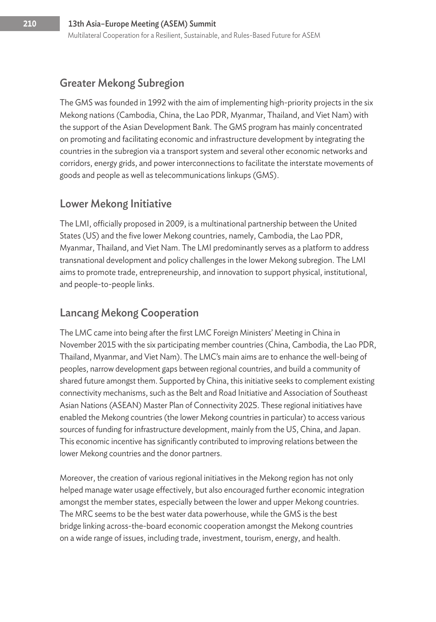#### Greater Mekong Subregion

The GMS was founded in 1992 with the aim of implementing high-priority projects in the six Mekong nations (Cambodia, China, the Lao PDR, Myanmar, Thailand, and Viet Nam) with the support of the Asian Development Bank. The GMS program has mainly concentrated on promoting and facilitating economic and infrastructure development by integrating the countries in the subregion via a transport system and several other economic networks and corridors, energy grids, and power interconnections to facilitate the interstate movements of goods and people as well as telecommunications linkups (GMS).

#### Lower Mekong Initiative

The LMI, officially proposed in 2009, is a multinational partnership between the United States (US) and the five lower Mekong countries, namely, Cambodia, the Lao PDR, Myanmar, Thailand, and Viet Nam. The LMI predominantly serves as a platform to address transnational development and policy challenges in the lower Mekong subregion. The LMI aims to promote trade, entrepreneurship, and innovation to support physical, institutional, and people-to-people links.

#### Lancang Mekong Cooperation

The LMC came into being after the first LMC Foreign Ministers' Meeting in China in November 2015 with the six participating member countries (China, Cambodia, the Lao PDR, Thailand, Myanmar, and Viet Nam). The LMC's main aims are to enhance the well-being of peoples, narrow development gaps between regional countries, and build a community of shared future amongst them. Supported by China, this initiative seeks to complement existing connectivity mechanisms, such as the Belt and Road Initiative and Association of Southeast Asian Nations (ASEAN) Master Plan of Connectivity 2025. These regional initiatives have enabled the Mekong countries (the lower Mekong countries in particular) to access various sources of funding for infrastructure development, mainly from the US, China, and Japan. This economic incentive has significantly contributed to improving relations between the lower Mekong countries and the donor partners.

Moreover, the creation of various regional initiatives in the Mekong region has not only helped manage water usage effectively, but also encouraged further economic integration amongst the member states, especially between the lower and upper Mekong countries. The MRC seems to be the best water data powerhouse, while the GMS is the best bridge linking across-the-board economic cooperation amongst the Mekong countries on a wide range of issues, including trade, investment, tourism, energy, and health.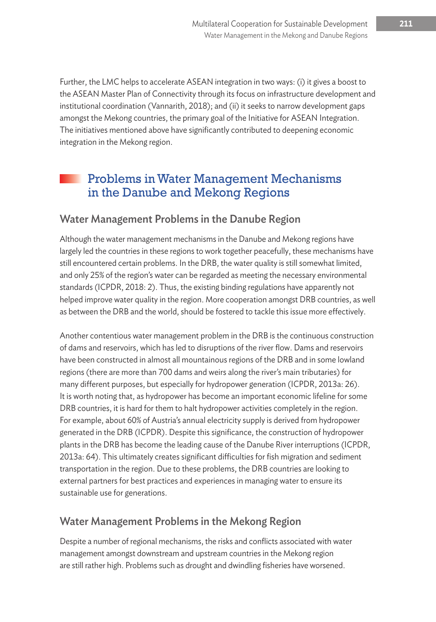Further, the LMC helps to accelerate ASEAN integration in two ways: (i) it gives a boost to the ASEAN Master Plan of Connectivity through its focus on infrastructure development and institutional coordination (Vannarith, 2018); and (ii) it seeks to narrow development gaps amongst the Mekong countries, the primary goal of the Initiative for ASEAN Integration. The initiatives mentioned above have significantly contributed to deepening economic integration in the Mekong region.

## Problems in Water Management Mechanisms in the Danube and Mekong Regions

#### Water Management Problems in the Danube Region

Although the water management mechanisms in the Danube and Mekong regions have largely led the countries in these regions to work together peacefully, these mechanisms have still encountered certain problems. In the DRB, the water quality is still somewhat limited, and only 25% of the region's water can be regarded as meeting the necessary environmental standards (ICPDR, 2018: 2). Thus, the existing binding regulations have apparently not helped improve water quality in the region. More cooperation amongst DRB countries, as well as between the DRB and the world, should be fostered to tackle this issue more effectively.

Another contentious water management problem in the DRB is the continuous construction of dams and reservoirs, which has led to disruptions of the river flow. Dams and reservoirs have been constructed in almost all mountainous regions of the DRB and in some lowland regions (there are more than 700 dams and weirs along the river's main tributaries) for many different purposes, but especially for hydropower generation (ICPDR, 2013a: 26). It is worth noting that, as hydropower has become an important economic lifeline for some DRB countries, it is hard for them to halt hydropower activities completely in the region. For example, about 60% of Austria's annual electricity supply is derived from hydropower generated in the DRB (ICPDR). Despite this significance, the construction of hydropower plants in the DRB has become the leading cause of the Danube River interruptions (ICPDR, 2013a: 64). This ultimately creates significant difficulties for fish migration and sediment transportation in the region. Due to these problems, the DRB countries are looking to external partners for best practices and experiences in managing water to ensure its sustainable use for generations.

#### Water Management Problems in the Mekong Region

Despite a number of regional mechanisms, the risks and conflicts associated with water management amongst downstream and upstream countries in the Mekong region are still rather high. Problems such as drought and dwindling fisheries have worsened.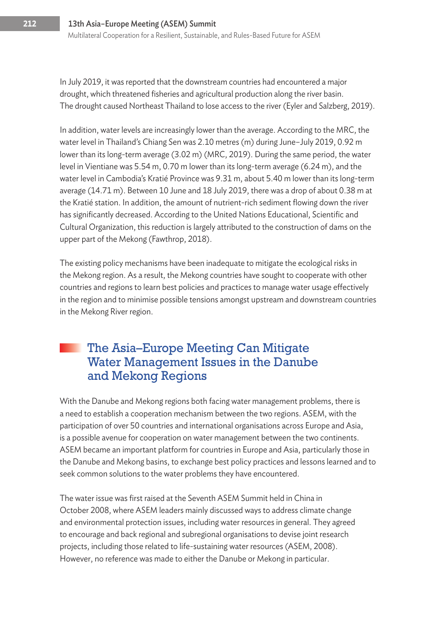In July 2019, it was reported that the downstream countries had encountered a major drought, which threatened fisheries and agricultural production along the river basin. The drought caused Northeast Thailand to lose access to the river (Eyler and Salzberg, 2019).

In addition, water levels are increasingly lower than the average. According to the MRC, the water level in Thailand's Chiang Sen was 2.10 metres (m) during June–July 2019, 0.92 m lower than its long-term average (3.02 m) (MRC, 2019). During the same period, the water level in Vientiane was 5.54 m, 0.70 m lower than its long-term average (6.24 m), and the water level in Cambodia's Kratié Province was 9.31 m, about 5.40 m lower than its long-term average (14.71 m). Between 10 June and 18 July 2019, there was a drop of about 0.38 m at the Kratié station. In addition, the amount of nutrient-rich sediment flowing down the river has significantly decreased. According to the United Nations Educational, Scientific and Cultural Organization, this reduction is largely attributed to the construction of dams on the upper part of the Mekong (Fawthrop, 2018).

The existing policy mechanisms have been inadequate to mitigate the ecological risks in the Mekong region. As a result, the Mekong countries have sought to cooperate with other countries and regions to learn best policies and practices to manage water usage effectively in the region and to minimise possible tensions amongst upstream and downstream countries in the Mekong River region.

### The Asia–Europe Meeting Can Mitigate Water Management Issues in the Danube and Mekong Regions

With the Danube and Mekong regions both facing water management problems, there is a need to establish a cooperation mechanism between the two regions. ASEM, with the participation of over 50 countries and international organisations across Europe and Asia, is a possible avenue for cooperation on water management between the two continents. ASEM became an important platform for countries in Europe and Asia, particularly those in the Danube and Mekong basins, to exchange best policy practices and lessons learned and to seek common solutions to the water problems they have encountered.

The water issue was first raised at the Seventh ASEM Summit held in China in October 2008, where ASEM leaders mainly discussed ways to address climate change and environmental protection issues, including water resources in general. They agreed to encourage and back regional and subregional organisations to devise joint research projects, including those related to life-sustaining water resources (ASEM, 2008). However, no reference was made to either the Danube or Mekong in particular.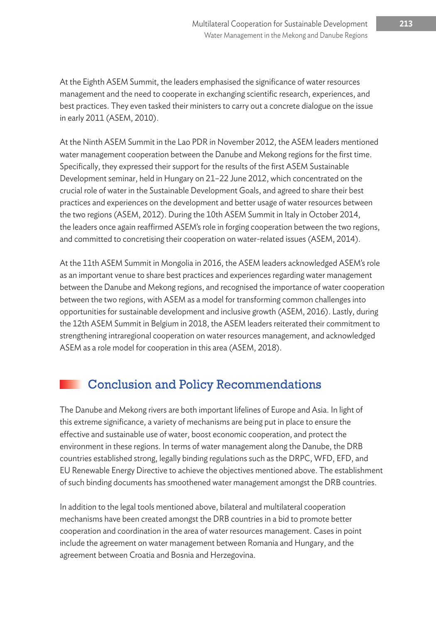At the Eighth ASEM Summit, the leaders emphasised the significance of water resources management and the need to cooperate in exchanging scientific research, experiences, and best practices. They even tasked their ministers to carry out a concrete dialogue on the issue in early 2011 (ASEM, 2010).

At the Ninth ASEM Summit in the Lao PDR in November 2012, the ASEM leaders mentioned water management cooperation between the Danube and Mekong regions for the first time. Specifically, they expressed their support for the results of the first ASEM Sustainable Development seminar, held in Hungary on 21–22 June 2012, which concentrated on the crucial role of water in the Sustainable Development Goals, and agreed to share their best practices and experiences on the development and better usage of water resources between the two regions (ASEM, 2012). During the 10th ASEM Summit in Italy in October 2014, the leaders once again reaffirmed ASEM's role in forging cooperation between the two regions, and committed to concretising their cooperation on water-related issues (ASEM, 2014).

At the 11th ASEM Summit in Mongolia in 2016, the ASEM leaders acknowledged ASEM's role as an important venue to share best practices and experiences regarding water management between the Danube and Mekong regions, and recognised the importance of water cooperation between the two regions, with ASEM as a model for transforming common challenges into opportunities for sustainable development and inclusive growth (ASEM, 2016). Lastly, during the 12th ASEM Summit in Belgium in 2018, the ASEM leaders reiterated their commitment to strengthening intraregional cooperation on water resources management, and acknowledged ASEM as a role model for cooperation in this area (ASEM, 2018).

# Conclusion and Policy Recommendations

The Danube and Mekong rivers are both important lifelines of Europe and Asia. In light of this extreme significance, a variety of mechanisms are being put in place to ensure the effective and sustainable use of water, boost economic cooperation, and protect the environment in these regions. In terms of water management along the Danube, the DRB countries established strong, legally binding regulations such as the DRPC, WFD, EFD, and EU Renewable Energy Directive to achieve the objectives mentioned above. The establishment of such binding documents has smoothened water management amongst the DRB countries.

In addition to the legal tools mentioned above, bilateral and multilateral cooperation mechanisms have been created amongst the DRB countries in a bid to promote better cooperation and coordination in the area of water resources management. Cases in point include the agreement on water management between Romania and Hungary, and the agreement between Croatia and Bosnia and Herzegovina.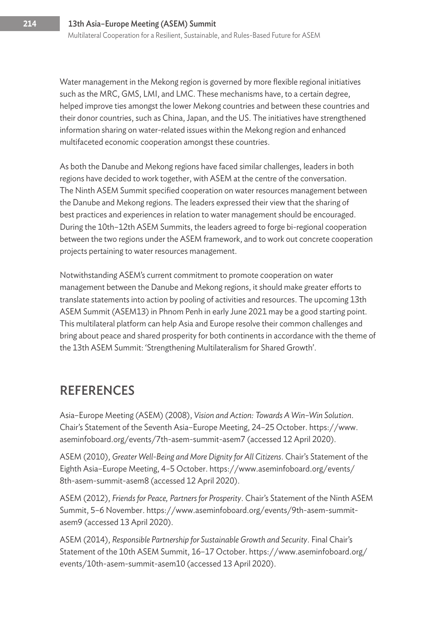Water management in the Mekong region is governed by more flexible regional initiatives such as the MRC, GMS, LMI, and LMC. These mechanisms have, to a certain degree, helped improve ties amongst the lower Mekong countries and between these countries and their donor countries, such as China, Japan, and the US. The initiatives have strengthened information sharing on water-related issues within the Mekong region and enhanced multifaceted economic cooperation amongst these countries.

As both the Danube and Mekong regions have faced similar challenges, leaders in both regions have decided to work together, with ASEM at the centre of the conversation. The Ninth ASEM Summit specified cooperation on water resources management between the Danube and Mekong regions. The leaders expressed their view that the sharing of best practices and experiences in relation to water management should be encouraged. During the 10th–12th ASEM Summits, the leaders agreed to forge bi-regional cooperation between the two regions under the ASEM framework, and to work out concrete cooperation projects pertaining to water resources management.

Notwithstanding ASEM's current commitment to promote cooperation on water management between the Danube and Mekong regions, it should make greater efforts to translate statements into action by pooling of activities and resources. The upcoming 13th ASEM Summit (ASEM13) in Phnom Penh in early June 2021 may be a good starting point. This multilateral platform can help Asia and Europe resolve their common challenges and bring about peace and shared prosperity for both continents in accordance with the theme of the 13th ASEM Summit: 'Strengthening Multilateralism for Shared Growth'.

## **REFERENCES**

Asia–Europe Meeting (ASEM) (2008), *Vision and Action: Towards A Win–Win Solution*. Chair's Statement of the Seventh Asia–Europe Meeting, 24–25 October. https://www. aseminfoboard.org/events/7th-asem-summit-asem7 (accessed 12 April 2020).

ASEM (2010), *Greater Well-Being and More Dignity for All Citizens*. Chair's Statement of the Eighth Asia–Europe Meeting, 4–5 October. https://www.aseminfoboard.org/events/ 8th-asem-summit-asem8 (accessed 12 April 2020).

ASEM (2012), *Friends for Peace, Partners for Prosperity*. Chair's Statement of the Ninth ASEM Summit, 5–6 November. https://www.aseminfoboard.org/events/9th-asem-summitasem9 (accessed 13 April 2020).

ASEM (2014), *Responsible Partnership for Sustainable Growth and Security*. Final Chair's Statement of the 10th ASEM Summit, 16–17 October. https://www.aseminfoboard.org/ events/10th-asem-summit-asem10 (accessed 13 April 2020).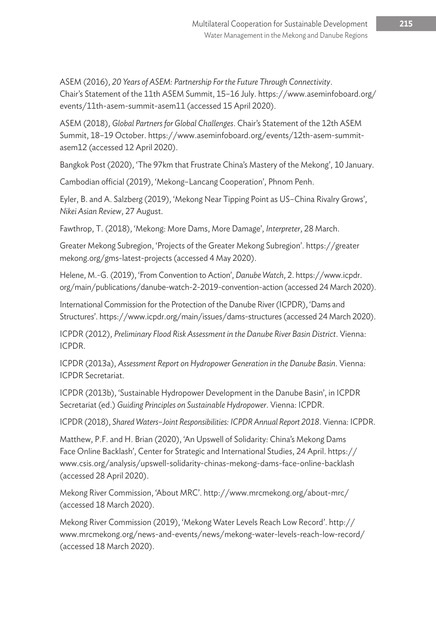ASEM (2016), *20 Years of ASEM: Partnership For the Future Through Connectivity*. Chair's Statement of the 11th ASEM Summit, 15–16 July. https://www.aseminfoboard.org/ events/11th-asem-summit-asem11 (accessed 15 April 2020).

ASEM (2018), *Global Partners for Global Challenges*. Chair's Statement of the 12th ASEM Summit, 18–19 October. https://www.aseminfoboard.org/events/12th-asem-summitasem12 (accessed 12 April 2020).

Bangkok Post (2020), 'The 97km that Frustrate China's Mastery of the Mekong', 10 January.

Cambodian official (2019), 'Mekong–Lancang Cooperation', Phnom Penh.

Eyler, B. and A. Salzberg (2019), 'Mekong Near Tipping Point as US–China Rivalry Grows', *Nikei Asian Review*, 27 August.

Fawthrop, T. (2018), 'Mekong: More Dams, More Damage', *Interpreter*, 28 March.

Greater Mekong Subregion, 'Projects of the Greater Mekong Subregion'. https://greater mekong.org/gms-latest-projects (accessed 4 May 2020).

Helene, M.-G. (2019), 'From Convention to Action', *Danube Watch*, 2. https://www.icpdr. org/main/publications/danube-watch-2-2019-convention-action (accessed 24 March 2020).

International Commission for the Protection of the Danube River (ICPDR), 'Dams and Structures'. https://www.icpdr.org/main/issues/dams-structures (accessed 24 March 2020).

ICPDR (2012), *Preliminary Flood Risk Assessment in the Danube River Basin District*. Vienna: ICPDR.

ICPDR (2013a), *Assessment Report on Hydropower Generation in the Danube Basin*. Vienna: ICPDR Secretariat.

ICPDR (2013b), 'Sustainable Hydropower Development in the Danube Basin', in ICPDR Secretariat(ed.) *Guiding Principles on Sustainable Hydropower*. Vienna: ICPDR.

ICPDR (2018), *Shared Waters–Joint Responsibilities: ICPDR Annual Report 2018*. Vienna: ICPDR.

Matthew, P.F. and H. Brian (2020), 'An Upswell of Solidarity: China's Mekong Dams Face Online Backlash', Center for Strategic and International Studies, 24 April. https:// www.csis.org/analysis/upswell-solidarity-chinas-mekong-dams-face-online-backlash (accessed 28 April 2020).

Mekong River Commission, 'About MRC'. http://www.mrcmekong.org/about-mrc/ (accessed 18 March 2020).

Mekong River Commission (2019), 'Mekong Water Levels Reach Low Record'. http:// www.mrcmekong.org/news-and-events/news/mekong-water-levels-reach-low-record/ (accessed 18 March 2020).